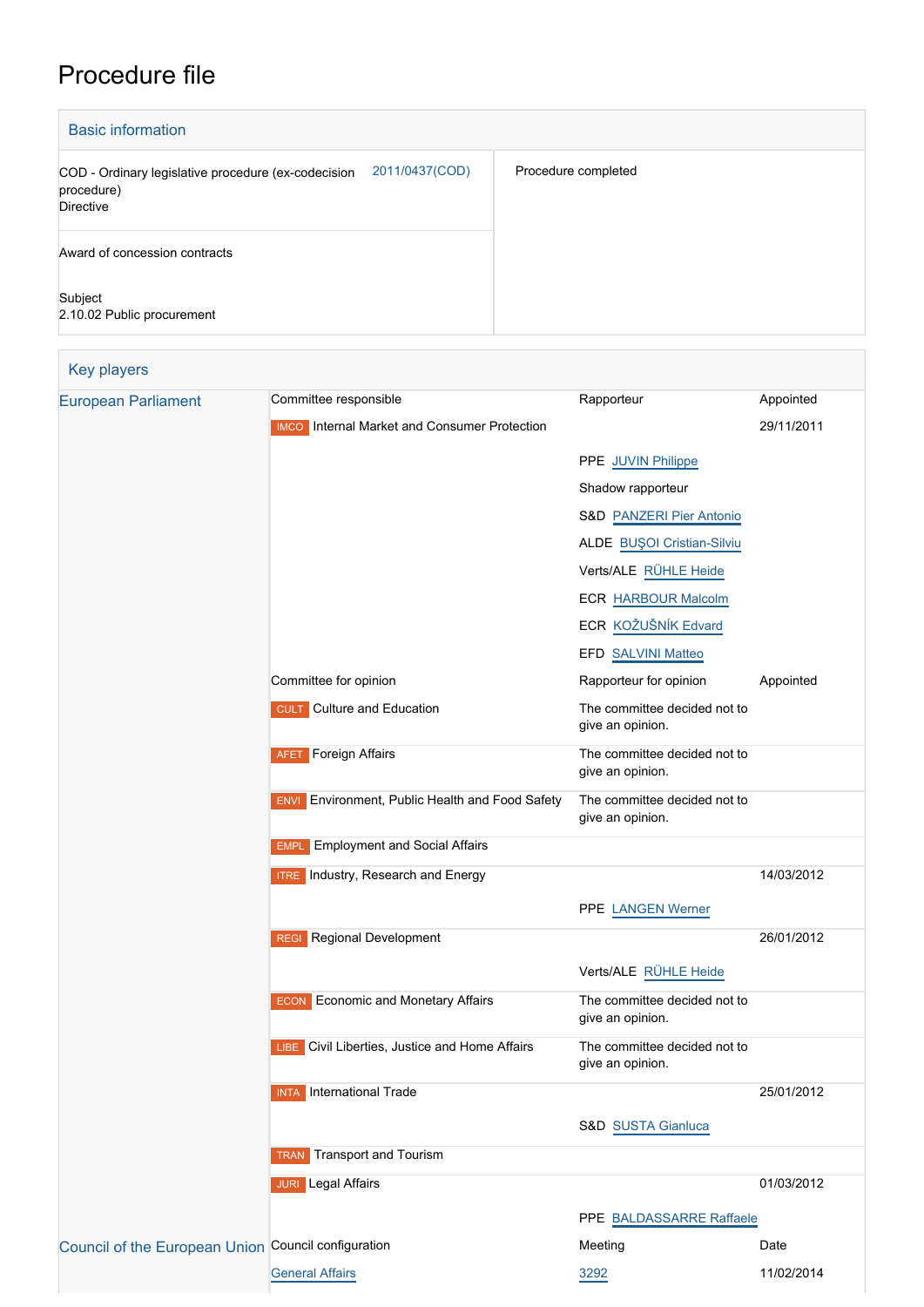## Procedure file

| <b>Basic information</b>                                                                                |                     |  |  |  |
|---------------------------------------------------------------------------------------------------------|---------------------|--|--|--|
| 2011/0437(COD)<br>COD - Ordinary legislative procedure (ex-codecision<br>procedure)<br><b>Directive</b> | Procedure completed |  |  |  |
| Award of concession contracts                                                                           |                     |  |  |  |
| Subject<br>2.10.02 Public procurement                                                                   |                     |  |  |  |

| <b>Key players</b>                                  |                                                        |                                                  |            |
|-----------------------------------------------------|--------------------------------------------------------|--------------------------------------------------|------------|
| <b>European Parliament</b>                          | Committee responsible                                  | Rapporteur                                       | Appointed  |
|                                                     | <b>IMCO</b> Internal Market and Consumer Protection    |                                                  | 29/11/2011 |
|                                                     |                                                        | PPE JUVIN Philippe                               |            |
|                                                     |                                                        | Shadow rapporteur                                |            |
|                                                     |                                                        | <b>S&amp;D PANZERI Pier Antonio</b>              |            |
|                                                     |                                                        | ALDE BUŞOI Cristian-Silviu                       |            |
|                                                     |                                                        | Verts/ALE RÜHLE Heide                            |            |
|                                                     |                                                        | <b>ECR HARBOUR Malcolm</b>                       |            |
|                                                     |                                                        | ECR KOŽUŠNÍK Edvard                              |            |
|                                                     |                                                        | EFD SALVINI Matteo                               |            |
|                                                     | Committee for opinion                                  | Rapporteur for opinion                           | Appointed  |
|                                                     | <b>CULT</b> Culture and Education                      | The committee decided not to<br>give an opinion. |            |
|                                                     | Foreign Affairs<br><b>AFET</b>                         | The committee decided not to<br>give an opinion. |            |
|                                                     | <b>ENVI</b> Environment, Public Health and Food Safety | The committee decided not to<br>give an opinion. |            |
|                                                     | <b>Employment and Social Affairs</b><br><b>EMPL</b>    |                                                  |            |
|                                                     | <b>ITRE</b> Industry, Research and Energy              |                                                  | 14/03/2012 |
|                                                     |                                                        | PPE LANGEN Werner                                |            |
|                                                     | <b>REGI</b> Regional Development                       |                                                  | 26/01/2012 |
|                                                     |                                                        | Verts/ALE RÜHLE Heide                            |            |
|                                                     | <b>ECON</b> Economic and Monetary Affairs              | The committee decided not to<br>give an opinion. |            |
|                                                     | LIBE Civil Liberties, Justice and Home Affairs         | The committee decided not to<br>give an opinion. |            |
|                                                     | International Trade<br>INTA                            |                                                  | 25/01/2012 |
|                                                     |                                                        | S&D SUSTA Gianluca                               |            |
|                                                     | <b>Transport and Tourism</b><br><b>TRAN</b>            |                                                  |            |
|                                                     | <b>JURI</b> Legal Affairs                              |                                                  | 01/03/2012 |
|                                                     |                                                        | PPE BALDASSARRE Raffaele                         |            |
| Council of the European Union Council configuration |                                                        | Meeting                                          | Date       |
|                                                     | <b>General Affairs</b>                                 | 3292                                             | 11/02/2014 |